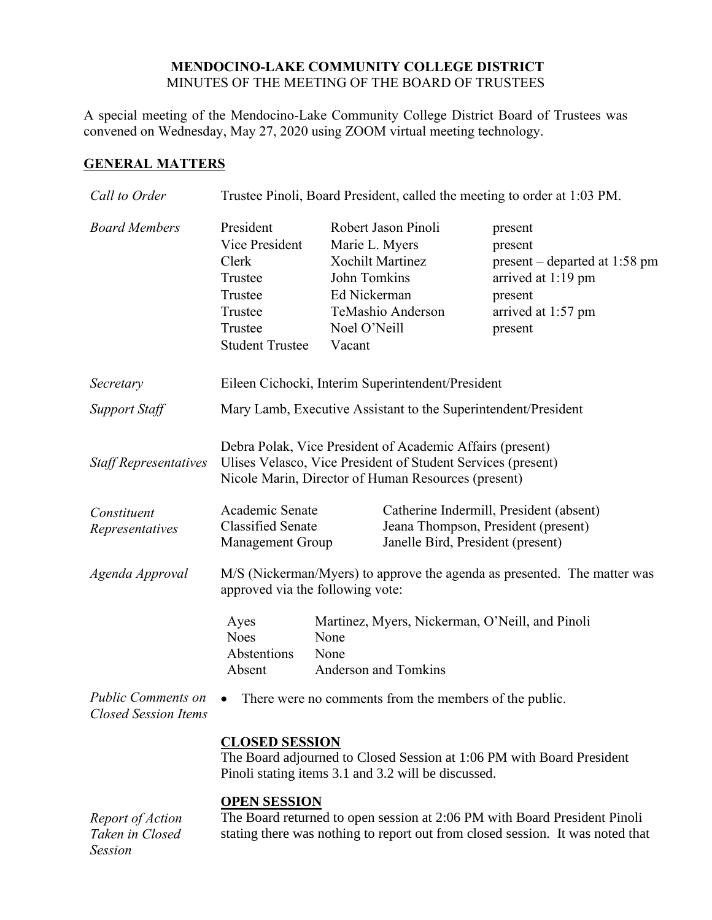## **MENDOCINO-LAKE COMMUNITY COLLEGE DISTRICT** MINUTES OF THE MEETING OF THE BOARD OF TRUSTEES

A special meeting of the Mendocino-Lake Community College District Board of Trustees was convened on Wednesday, May 27, 2020 using ZOOM virtual meeting technology.

## **GENERAL MATTERS**

| Call to Order                                            | Trustee Pinoli, Board President, called the meeting to order at 1:03 PM.                                                                                                         |                                                                                                                                                 |                                                                                                                                 |
|----------------------------------------------------------|----------------------------------------------------------------------------------------------------------------------------------------------------------------------------------|-------------------------------------------------------------------------------------------------------------------------------------------------|---------------------------------------------------------------------------------------------------------------------------------|
| <b>Board Members</b>                                     | President<br>Vice President<br>Clerk<br>Trustee<br>Trustee<br>Trustee<br>Trustee<br><b>Student Trustee</b>                                                                       | Robert Jason Pinoli<br>Marie L. Myers<br><b>Xochilt Martinez</b><br>John Tomkins<br>Ed Nickerman<br>TeMashio Anderson<br>Noel O'Neill<br>Vacant | present<br>present<br>$present-dependent$ departed at 1:58 pm<br>arrived at 1:19 pm<br>present<br>arrived at 1:57 pm<br>present |
| Secretary                                                | Eileen Cichocki, Interim Superintendent/President                                                                                                                                |                                                                                                                                                 |                                                                                                                                 |
| <b>Support Staff</b>                                     | Mary Lamb, Executive Assistant to the Superintendent/President                                                                                                                   |                                                                                                                                                 |                                                                                                                                 |
| <b>Staff Representatives</b>                             | Debra Polak, Vice President of Academic Affairs (present)<br>Ulises Velasco, Vice President of Student Services (present)<br>Nicole Marin, Director of Human Resources (present) |                                                                                                                                                 |                                                                                                                                 |
| Constituent<br>Representatives                           | Academic Senate<br><b>Classified Senate</b><br>Management Group                                                                                                                  |                                                                                                                                                 | Catherine Indermill, President (absent)<br>Jeana Thompson, President (present)<br>Janelle Bird, President (present)             |
| Agenda Approval                                          | approved via the following vote:                                                                                                                                                 |                                                                                                                                                 | M/S (Nickerman/Myers) to approve the agenda as presented. The matter was                                                        |
|                                                          | Ayes<br><b>Noes</b><br>Abstentions<br>Absent                                                                                                                                     | Martinez, Myers, Nickerman, O'Neill, and Pinoli<br>None<br>None<br><b>Anderson and Tomkins</b>                                                  |                                                                                                                                 |
| <b>Public Comments on</b><br><b>Closed Session Items</b> | There were no comments from the members of the public.<br>$\bullet$                                                                                                              |                                                                                                                                                 |                                                                                                                                 |
|                                                          | <b>CLOSED SESSION</b><br>The Board adjourned to Closed Session at 1:06 PM with Board President<br>Pinoli stating items 3.1 and 3.2 will be discussed.                            |                                                                                                                                                 |                                                                                                                                 |
|                                                          | <b>OPEN SESSION</b>                                                                                                                                                              |                                                                                                                                                 |                                                                                                                                 |

*Report of Action Taken in Closed Session*

The Board returned to open session at 2:06 PM with Board President Pinoli stating there was nothing to report out from closed session. It was noted that